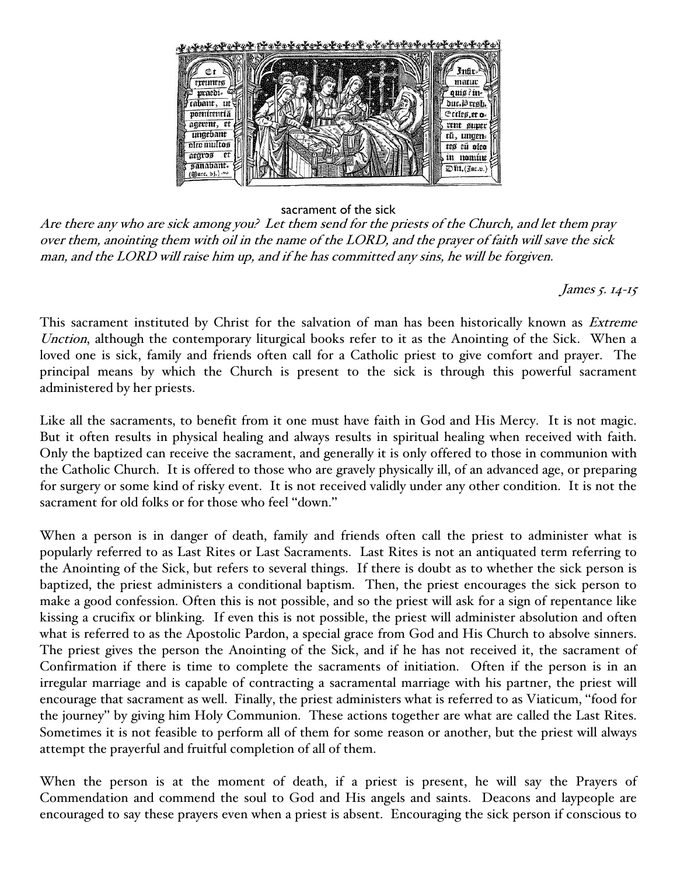

## sacrament of the sick

Are there any who are sick among you? Let them send for the priests of the Church, and let them pray over them, anointing them with oil in the name of the LORD, and the prayer of faith will save the sick man, and the LORD will raise him up, and if he has committed any sins, he will be forgiven.

James 5. 14-15

This sacrament instituted by Christ for the salvation of man has been historically known as *Extreme* Unction, although the contemporary liturgical books refer to it as the Anointing of the Sick. When a loved one is sick, family and friends often call for a Catholic priest to give comfort and prayer. The principal means by which the Church is present to the sick is through this powerful sacrament administered by her priests.

Like all the sacraments, to benefit from it one must have faith in God and His Mercy. It is not magic. But it often results in physical healing and always results in spiritual healing when received with faith. Only the baptized can receive the sacrament, and generally it is only offered to those in communion with the Catholic Church. It is offered to those who are gravely physically ill, of an advanced age, or preparing for surgery or some kind of risky event. It is not received validly under any other condition. It is not the sacrament for old folks or for those who feel "down."

When a person is in danger of death, family and friends often call the priest to administer what is popularly referred to as Last Rites or Last Sacraments. Last Rites is not an antiquated term referring to the Anointing of the Sick, but refers to several things. If there is doubt as to whether the sick person is baptized, the priest administers a conditional baptism. Then, the priest encourages the sick person to make a good confession. Often this is not possible, and so the priest will ask for a sign of repentance like kissing a crucifix or blinking. If even this is not possible, the priest will administer absolution and often what is referred to as the Apostolic Pardon, a special grace from God and His Church to absolve sinners. The priest gives the person the Anointing of the Sick, and if he has not received it, the sacrament of Confirmation if there is time to complete the sacraments of initiation. Often if the person is in an irregular marriage and is capable of contracting a sacramental marriage with his partner, the priest will encourage that sacrament as well. Finally, the priest administers what is referred to as Viaticum, "food for the journey" by giving him Holy Communion. These actions together are what are called the Last Rites. Sometimes it is not feasible to perform all of them for some reason or another, but the priest will always attempt the prayerful and fruitful completion of all of them.

When the person is at the moment of death, if a priest is present, he will say the Prayers of Commendation and commend the soul to God and His angels and saints. Deacons and laypeople are encouraged to say these prayers even when a priest is absent. Encouraging the sick person if conscious to